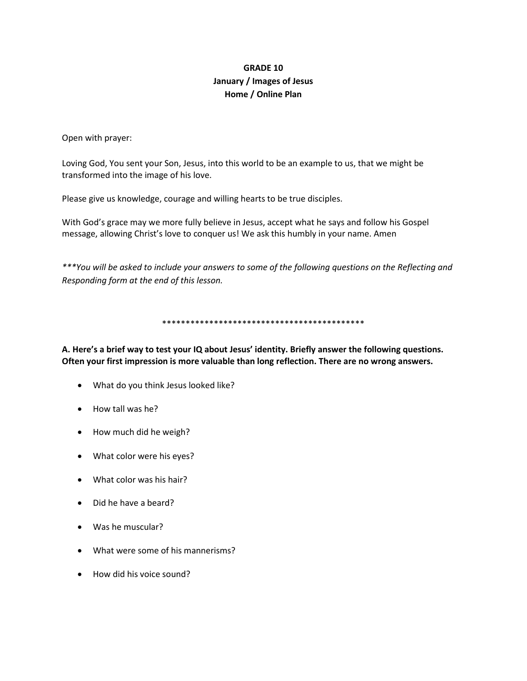# **GRADE 10 January / Images of Jesus Home / Online Plan**

Open with prayer:

Loving God, You sent your Son, Jesus, into this world to be an example to us, that we might be transformed into the image of his love.

Please give us knowledge, courage and willing hearts to be true disciples.

With God's grace may we more fully believe in Jesus, accept what he says and follow his Gospel message, allowing Christ's love to conquer us! We ask this humbly in your name. Amen

*\*\*\*You will be asked to include your answers to some of the following questions on the Reflecting and Responding form at the end of this lesson.*

\*\*\*\*\*\*\*\*\*\*\*\*\*\*\*\*\*\*\*\*\*\*\*\*\*\*\*\*\*\*\*\*\*\*\*\*\*\*\*\*\*\*\*

**A. Here's a brief way to test your IQ about Jesus' identity. Briefly answer the following questions. Often your first impression is more valuable than long reflection. There are no wrong answers.**

- What do you think Jesus looked like?
- How tall was he?
- How much did he weigh?
- What color were his eyes?
- What color was his hair?
- Did he have a beard?
- Was he muscular?
- What were some of his mannerisms?
- How did his voice sound?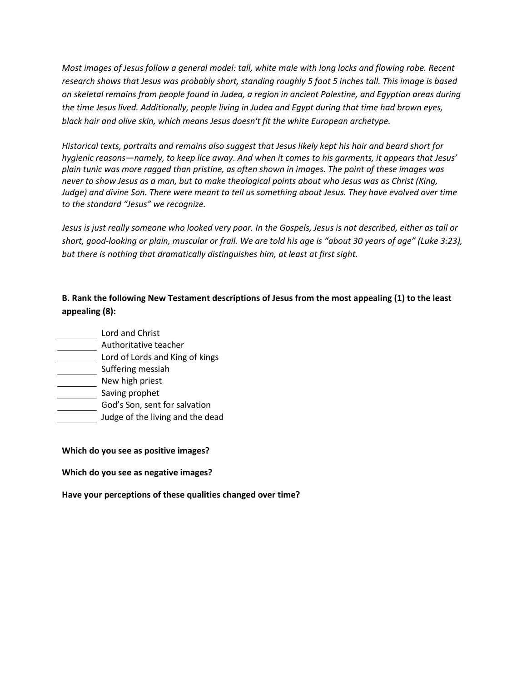*Most images of Jesus follow a general model: tall, white male with long locks and flowing robe. Recent research shows that Jesus was probably short, standing roughly 5 foot 5 inches tall. This image is based on skeletal remains from people found in [Judea,](https://www.britannica.com/place/Judaea) a region in ancient Palestine, and Egyptian areas during the time Jesus lived. Additionally, people living in Judea and Egypt during that time had brown eyes, black hair and olive skin, which means Jesus doesn't fit the white European archetype.*

*Historical texts, portraits and remains also suggest that Jesus likely kept his hair and beard short for hygienic reasons—namely, to keep lice away. And when it comes to his garments, it appears that Jesus' plain tunic was more ragged than pristine, as often shown in images. The point of these images was never to show Jesus as a man, but to make theological points about who Jesus was as Christ (King, Judge) and divine Son. There were meant to tell us something about Jesus. They have evolved over time to the standard "Jesus" we recognize.*

*Jesus is just really someone who looked very poor. In the Gospels, Jesus is not described, either as tall or short, good-looking or plain, muscular or frail. We are told his age is "about 30 years of age" (Luke 3:23), but there is nothing that dramatically distinguishes him, at least at first sight.*

# **B. Rank the following New Testament descriptions of Jesus from the most appealing (1) to the least appealing (8):**

- Lord and Christ
- Authoritative teacher
- Lord of Lords and King of kings
- Suffering messiah
- New high priest
- Saving prophet
- God's Son, sent for salvation
- Judge of the living and the dead

### **Which do you see as positive images?**

### **Which do you see as negative images?**

**Have your perceptions of these qualities changed over time?**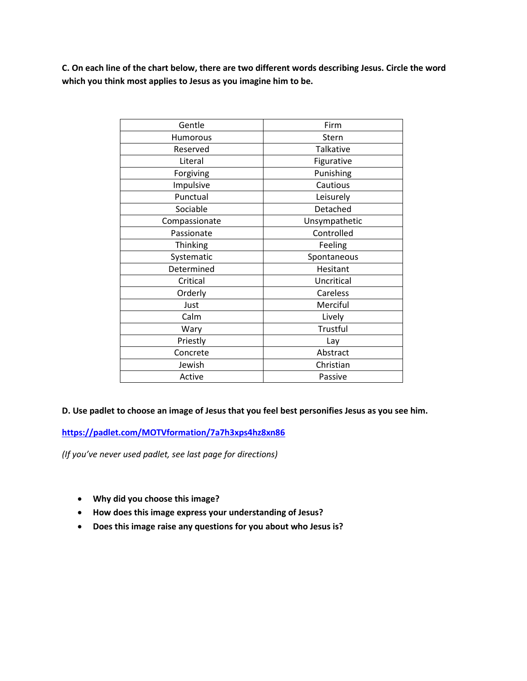**C. On each line of the chart below, there are two different words describing Jesus. Circle the word which you think most applies to Jesus as you imagine him to be.** 

| Firm          |
|---------------|
| Stern         |
| Talkative     |
| Figurative    |
| Punishing     |
| Cautious      |
| Leisurely     |
| Detached      |
| Unsympathetic |
| Controlled    |
| Feeling       |
| Spontaneous   |
| Hesitant      |
| Uncritical    |
| Careless      |
| Merciful      |
| Lively        |
| Trustful      |
| Lay           |
| Abstract      |
| Christian     |
| Passive       |
|               |

**D. Use padlet to choose an image of Jesus that you feel best personifies Jesus as you see him.** 

**<https://padlet.com/MOTVformation/7a7h3xps4hz8xn86>**

*(If you've never used padlet, see last page for directions)*

- **Why did you choose this image?**
- **How does this image express your understanding of Jesus?**
- **Does this image raise any questions for you about who Jesus is?**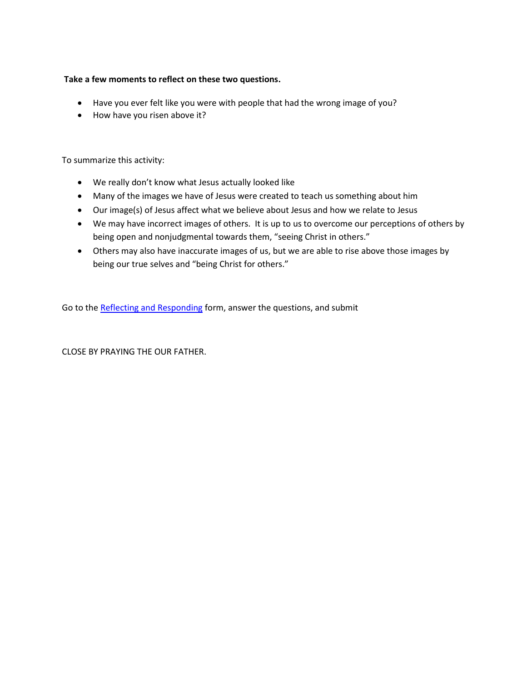### **Take a few moments to reflect on these two questions.**

- Have you ever felt like you were with people that had the wrong image of you?
- How have you risen above it?

To summarize this activity:

- We really don't know what Jesus actually looked like
- Many of the images we have of Jesus were created to teach us something about him
- Our image(s) of Jesus affect what we believe about Jesus and how we relate to Jesus
- We may have incorrect images of others. It is up to us to overcome our perceptions of others by being open and nonjudgmental towards them, "seeing Christ in others."
- Others may also have inaccurate images of us, but we are able to rise above those images by being our true selves and "being Christ for others."

Go to th[e Reflecting and Responding](https://forms.gle/hWxqsUAP5aJSEVxv5) form, answer the questions, and submit

CLOSE BY PRAYING THE OUR FATHER.